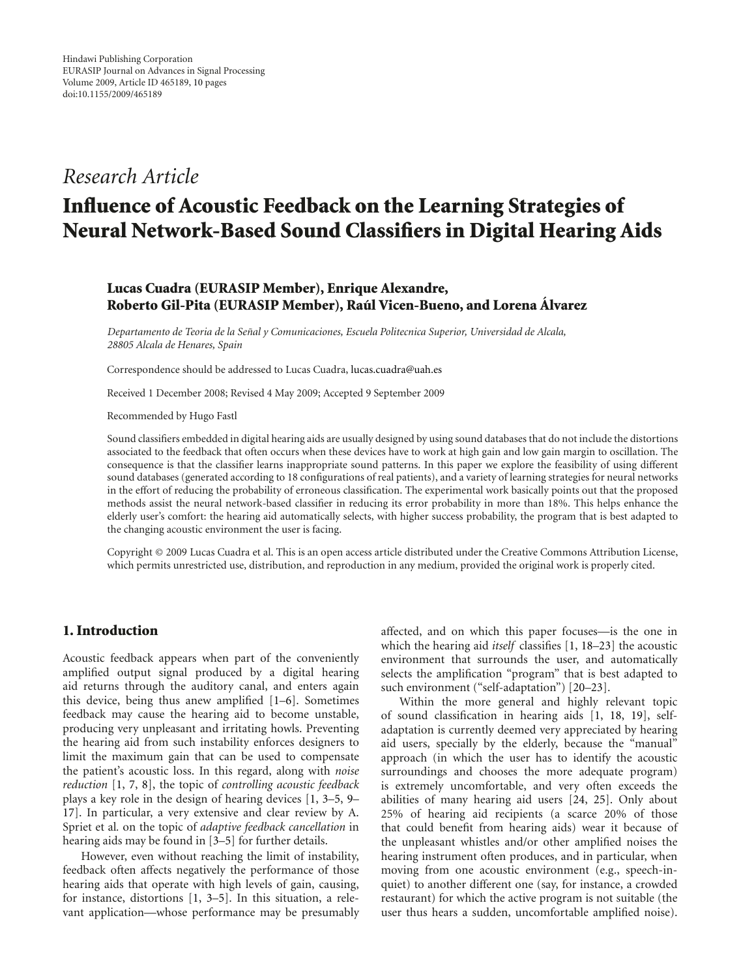# *Research Article*

# **Influence of Acoustic Feedback on the Learning Strategies of Neural Network-Based Sound Classifiers in Digital Hearing Aids**

# **Lucas Cuadra (EURASIP Member), Enrique Alexandre, Roberto Gil-Pita (EURASIP Member), Raul Vicen-Bueno, and Lorena ´ Alvarez ´**

*Departamento de Teoria de la Senal y Comunicaciones, Escuela Politecnica Superior, Universidad de Alcala, ˜ 28805 Alcala de Henares, Spain*

Correspondence should be addressed to Lucas Cuadra, lucas.cuadra@uah.es

Received 1 December 2008; Revised 4 May 2009; Accepted 9 September 2009

Recommended by Hugo Fastl

Sound classifiers embedded in digital hearing aids are usually designed by using sound databases that do not include the distortions associated to the feedback that often occurs when these devices have to work at high gain and low gain margin to oscillation. The consequence is that the classifier learns inappropriate sound patterns. In this paper we explore the feasibility of using different sound databases (generated according to 18 configurations of real patients), and a variety of learning strategies for neural networks in the effort of reducing the probability of erroneous classification. The experimental work basically points out that the proposed methods assist the neural network-based classifier in reducing its error probability in more than 18%. This helps enhance the elderly user's comfort: the hearing aid automatically selects, with higher success probability, the program that is best adapted to the changing acoustic environment the user is facing.

Copyright © 2009 Lucas Cuadra et al. This is an open access article distributed under the Creative Commons Attribution License, which permits unrestricted use, distribution, and reproduction in any medium, provided the original work is properly cited.

## **1. Introduction**

Acoustic feedback appears when part of the conveniently amplified output signal produced by a digital hearing aid returns through the auditory canal, and enters again this device, being thus anew amplified [1–6]. Sometimes feedback may cause the hearing aid to become unstable, producing very unpleasant and irritating howls. Preventing the hearing aid from such instability enforces designers to limit the maximum gain that can be used to compensate the patient's acoustic loss. In this regard, along with *noise reduction* [1, 7, 8], the topic of *controlling acoustic feedback* plays a key role in the design of hearing devices [1, 3–5, 9– 17]. In particular, a very extensive and clear review by A. Spriet et al*.* on the topic of *adaptive feedback cancellation* in hearing aids may be found in [3–5] for further details.

However, even without reaching the limit of instability, feedback often affects negatively the performance of those hearing aids that operate with high levels of gain, causing, for instance, distortions [1, 3–5]. In this situation, a relevant application—whose performance may be presumably

affected, and on which this paper focuses—is the one in which the hearing aid *itself* classifies [1, 18–23] the acoustic environment that surrounds the user, and automatically selects the amplification "program" that is best adapted to such environment ("self-adaptation") [20–23].

Within the more general and highly relevant topic of sound classification in hearing aids [1, 18, 19], selfadaptation is currently deemed very appreciated by hearing aid users, specially by the elderly, because the "manual" approach (in which the user has to identify the acoustic surroundings and chooses the more adequate program) is extremely uncomfortable, and very often exceeds the abilities of many hearing aid users [24, 25]. Only about 25% of hearing aid recipients (a scarce 20% of those that could benefit from hearing aids) wear it because of the unpleasant whistles and/or other amplified noises the hearing instrument often produces, and in particular, when moving from one acoustic environment (e.g., speech-inquiet) to another different one (say, for instance, a crowded restaurant) for which the active program is not suitable (the user thus hears a sudden, uncomfortable amplified noise).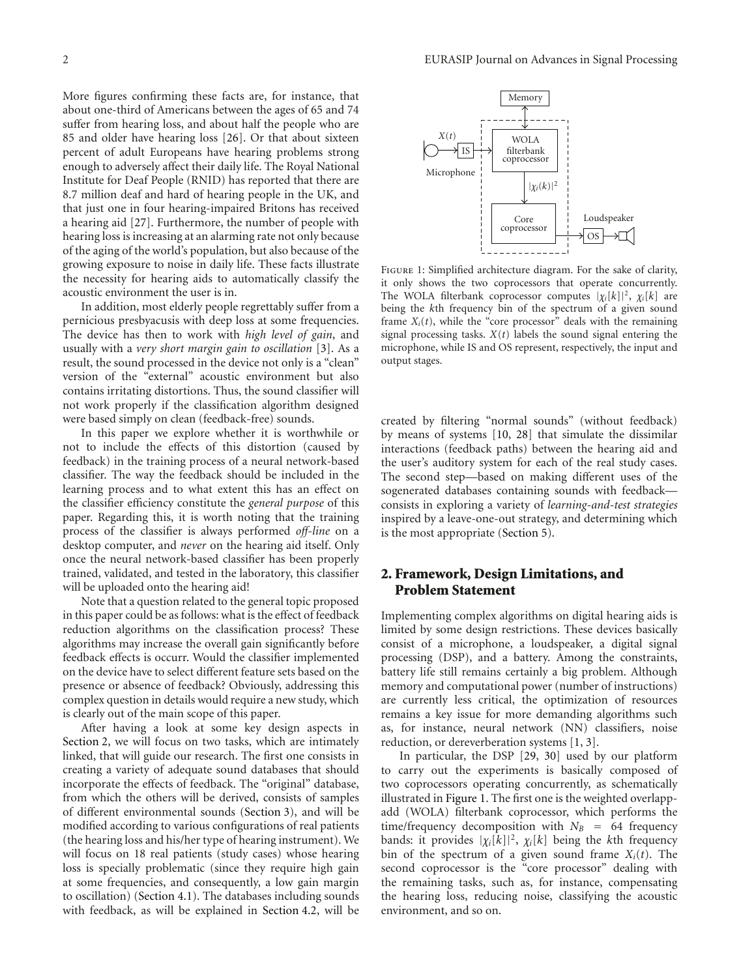More figures confirming these facts are, for instance, that about one-third of Americans between the ages of 65 and 74 suffer from hearing loss, and about half the people who are 85 and older have hearing loss [26]. Or that about sixteen percent of adult Europeans have hearing problems strong enough to adversely affect their daily life. The Royal National Institute for Deaf People (RNID) has reported that there are 8.7 million deaf and hard of hearing people in the UK, and that just one in four hearing-impaired Britons has received a hearing aid [27]. Furthermore, the number of people with hearing loss is increasing at an alarming rate not only because of the aging of the world's population, but also because of the growing exposure to noise in daily life. These facts illustrate the necessity for hearing aids to automatically classify the acoustic environment the user is in.

In addition, most elderly people regrettably suffer from a pernicious presbyacusis with deep loss at some frequencies. The device has then to work with *high level of gain*, and usually with a *very short margin gain to oscillation* [3]. As a result, the sound processed in the device not only is a "clean" version of the "external" acoustic environment but also contains irritating distortions. Thus, the sound classifier will not work properly if the classification algorithm designed were based simply on clean (feedback-free) sounds.

In this paper we explore whether it is worthwhile or not to include the effects of this distortion (caused by feedback) in the training process of a neural network-based classifier. The way the feedback should be included in the learning process and to what extent this has an effect on the classifier efficiency constitute the *general purpose* of this paper. Regarding this, it is worth noting that the training process of the classifier is always performed *off-line* on a desktop computer, and *never* on the hearing aid itself. Only once the neural network-based classifier has been properly trained, validated, and tested in the laboratory, this classifier will be uploaded onto the hearing aid!

Note that a question related to the general topic proposed in this paper could be as follows: what is the effect of feedback reduction algorithms on the classification process? These algorithms may increase the overall gain significantly before feedback effects is occurr. Would the classifier implemented on the device have to select different feature sets based on the presence or absence of feedback? Obviously, addressing this complex question in details would require a new study, which is clearly out of the main scope of this paper.

After having a look at some key design aspects in Section 2, we will focus on two tasks, which are intimately linked, that will guide our research. The first one consists in creating a variety of adequate sound databases that should incorporate the effects of feedback. The "original" database, from which the others will be derived, consists of samples of different environmental sounds (Section 3), and will be modified according to various configurations of real patients (the hearing loss and his/her type of hearing instrument). We will focus on 18 real patients (study cases) whose hearing loss is specially problematic (since they require high gain at some frequencies, and consequently, a low gain margin to oscillation) (Section 4.1). The databases including sounds with feedback, as will be explained in Section 4.2, will be



Figure 1: Simplified architecture diagram. For the sake of clarity, it only shows the two coprocessors that operate concurrently. The WOLA filterbank coprocessor computes  $|\chi_i[k]|^2$ ,  $\chi_i[k]$  are being the *k*th frequency bin of the spectrum of a given sound frame  $X_i(t)$ , while the "core processor" deals with the remaining signal processing tasks. *X*(*t*) labels the sound signal entering the microphone, while IS and OS represent, respectively, the input and output stages.

created by filtering "normal sounds" (without feedback) by means of systems [10, 28] that simulate the dissimilar interactions (feedback paths) between the hearing aid and the user's auditory system for each of the real study cases. The second step—based on making different uses of the sogenerated databases containing sounds with feedback consists in exploring a variety of *learning-and-test strategies* inspired by a leave-one-out strategy, and determining which is the most appropriate (Section 5).

## **2. Framework, Design Limitations, and Problem Statement**

Implementing complex algorithms on digital hearing aids is limited by some design restrictions. These devices basically consist of a microphone, a loudspeaker, a digital signal processing (DSP), and a battery. Among the constraints, battery life still remains certainly a big problem. Although memory and computational power (number of instructions) are currently less critical, the optimization of resources remains a key issue for more demanding algorithms such as, for instance, neural network (NN) classifiers, noise reduction, or dereverberation systems [1, 3].

In particular, the DSP [29, 30] used by our platform to carry out the experiments is basically composed of two coprocessors operating concurrently, as schematically illustrated in Figure 1. The first one is the weighted overlappadd (WOLA) filterbank coprocessor, which performs the time/frequency decomposition with  $N_B$  = 64 frequency bands: it provides  $|\chi_i[k]|^2$ ,  $\chi_i[k]$  being the *k*th frequency bin of the spectrum of a given sound frame  $X_i(t)$ . The second coprocessor is the "core processor" dealing with the remaining tasks, such as, for instance, compensating the hearing loss, reducing noise, classifying the acoustic environment, and so on.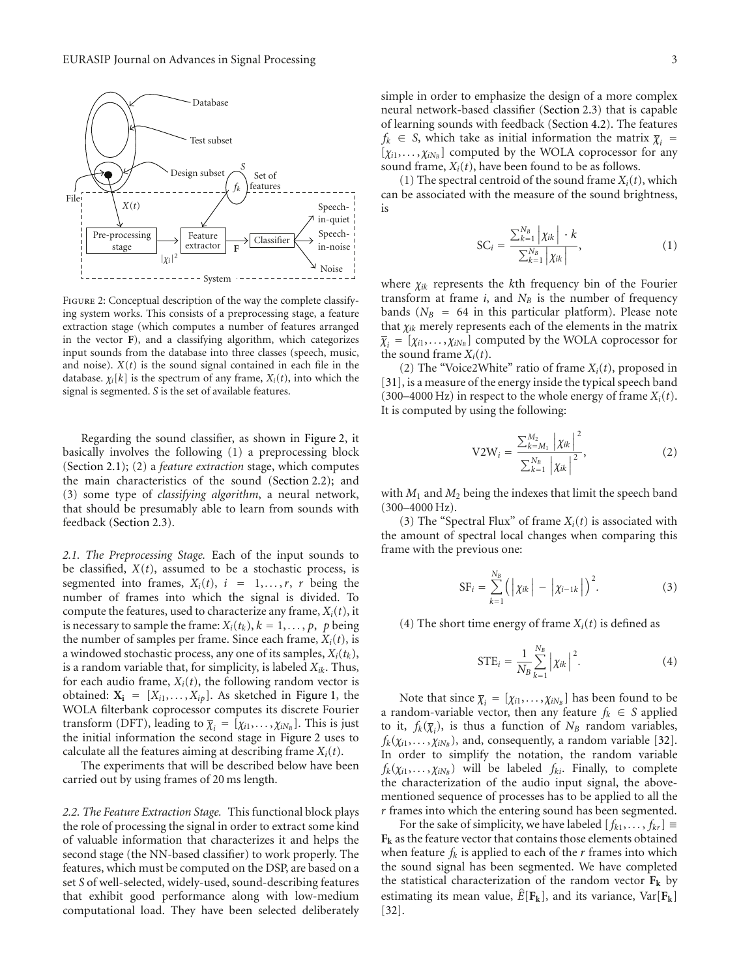

Figure 2: Conceptual description of the way the complete classifying system works. This consists of a preprocessing stage, a feature extraction stage (which computes a number of features arranged in the vector **F**), and a classifying algorithm, which categorizes input sounds from the database into three classes (speech, music, and noise).  $X(t)$  is the sound signal contained in each file in the database.  $\chi_i[k]$  is the spectrum of any frame,  $X_i(t)$ , into which the signal is segmented. *S* is the set of available features.

Regarding the sound classifier, as shown in Figure 2, it basically involves the following (1) a preprocessing block (Section 2.1); (2) a *feature extraction* stage, which computes the main characteristics of the sound (Section 2.2); and (3) some type of *classifying algorithm*, a neural network, that should be presumably able to learn from sounds with feedback (Section 2.3).

*2.1. The Preprocessing Stage.* Each of the input sounds to be classified,  $X(t)$ , assumed to be a stochastic process, is segmented into frames,  $X_i(t)$ ,  $i = 1, \ldots, r$ , *r* being the number of frames into which the signal is divided. To compute the features, used to characterize any frame,  $X_i(t)$ , it is necessary to sample the frame:  $X_i(t_k)$ ,  $k = 1, \ldots, p$ , *p* being the number of samples per frame. Since each frame,  $X_i(t)$ , is a windowed stochastic process, any one of its samples,  $X_i(t_k)$ , is a random variable that, for simplicity, is labeled *Xik*. Thus, for each audio frame,  $X_i(t)$ , the following random vector is obtained:  $X_i = [X_{i1}, \ldots, X_{ip}]$ . As sketched in Figure 1, the WOLA filterbank coprocessor computes its discrete Fourier transform (DFT), leading to  $\overline{\chi}_i = [\chi_{i1}, \ldots, \chi_{iN_B}]$ . This is just the initial information the second stage in Figure 2 uses to calculate all the features aiming at describing frame *Xi*(*t*).

The experiments that will be described below have been carried out by using frames of 20 ms length.

*2.2. The Feature Extraction Stage.* This functional block plays the role of processing the signal in order to extract some kind of valuable information that characterizes it and helps the second stage (the NN-based classifier) to work properly. The features, which must be computed on the DSP, are based on a set *S* of well-selected, widely-used, sound-describing features that exhibit good performance along with low-medium computational load. They have been selected deliberately simple in order to emphasize the design of a more complex neural network-based classifier (Section 2.3) that is capable of learning sounds with feedback (Section 4.2). The features  $f_k \in S$ , which take as initial information the matrix  $\overline{\chi}_i$  =  $[\chi_{i1}, \ldots, \chi_{iN_B}]$  computed by the WOLA coprocessor for any sound frame,  $X_i(t)$ , have been found to be as follows.

(1) The spectral centroid of the sound frame  $X_i(t)$ , which can be associated with the measure of the sound brightness, is

$$
SC_i = \frac{\sum_{k=1}^{N_B} |\chi_{ik}| \cdot k}{\sum_{k=1}^{N_B} |\chi_{ik}|}, \qquad (1)
$$

where *χik* represents the *k*th frequency bin of the Fourier transform at frame  $i$ , and  $N_B$  is the number of frequency bands ( $N_B$  = 64 in this particular platform). Please note that *χik* merely represents each of the elements in the matrix  $\overline{\chi}_i = [\chi_{i1}, \ldots, \chi_{iN_B}]$  computed by the WOLA coprocessor for the sound frame  $X_i(t)$ .

(2) The "Voice2White" ratio of frame  $X_i(t)$ , proposed in [31], is a measure of the energy inside the typical speech band  $(300-4000 \text{ Hz})$  in respect to the whole energy of frame  $X_i(t)$ . It is computed by using the following:

$$
V2W_{i} = \frac{\sum_{k=M_{1}}^{M_{2}} \left| \chi_{ik} \right|^{2}}{\sum_{k=1}^{N_{B}} \left| \chi_{ik} \right|^{2}},
$$
\n(2)

with  $M_1$  and  $M_2$  being the indexes that limit the speech band (300–4000 Hz).

(3) The "Spectral Flux" of frame  $X_i(t)$  is associated with the amount of spectral local changes when comparing this frame with the previous one:

$$
SF_{i} = \sum_{k=1}^{N_{B}} (| \chi_{ik} | - | \chi_{i-1k} |)^{2}.
$$
 (3)

(4) The short time energy of frame  $X_i(t)$  is defined as

$$
STE_{i} = \frac{1}{N_{B}}\sum_{k=1}^{N_{B}} |\chi_{ik}|^{2}.
$$
 (4)

Note that since  $\overline{\chi}_i = [\chi_{i1}, \ldots, \chi_{iN_B}]$  has been found to be a random-variable vector, then any feature  $f_k \in S$  applied to it,  $f_k(\overline{\chi}_i)$ , is thus a function of  $N_B$  random variables,  $f_k(\chi_{i1}, \ldots, \chi_{iN_B})$ , and, consequently, a random variable [32]. In order to simplify the notation, the random variable  $f_k(\chi_{i1}, \ldots, \chi_{iN_B})$  will be labeled  $f_{ki}$ . Finally, to complete the characterization of the audio input signal, the abovementioned sequence of processes has to be applied to all the *r* frames into which the entering sound has been segmented.

For the sake of simplicity, we have labeled  $[f_{k1}, \ldots, f_{kr}] \equiv$ **Fk** as the feature vector that contains those elements obtained when feature  $f_k$  is applied to each of the  $r$  frames into which the sound signal has been segmented. We have completed the statistical characterization of the random vector  $F_k$  by estimating its mean value,  $\hat{E}[\mathbf{F}_k]$ , and its variance,  $Var[\mathbf{F}_k]$ [32].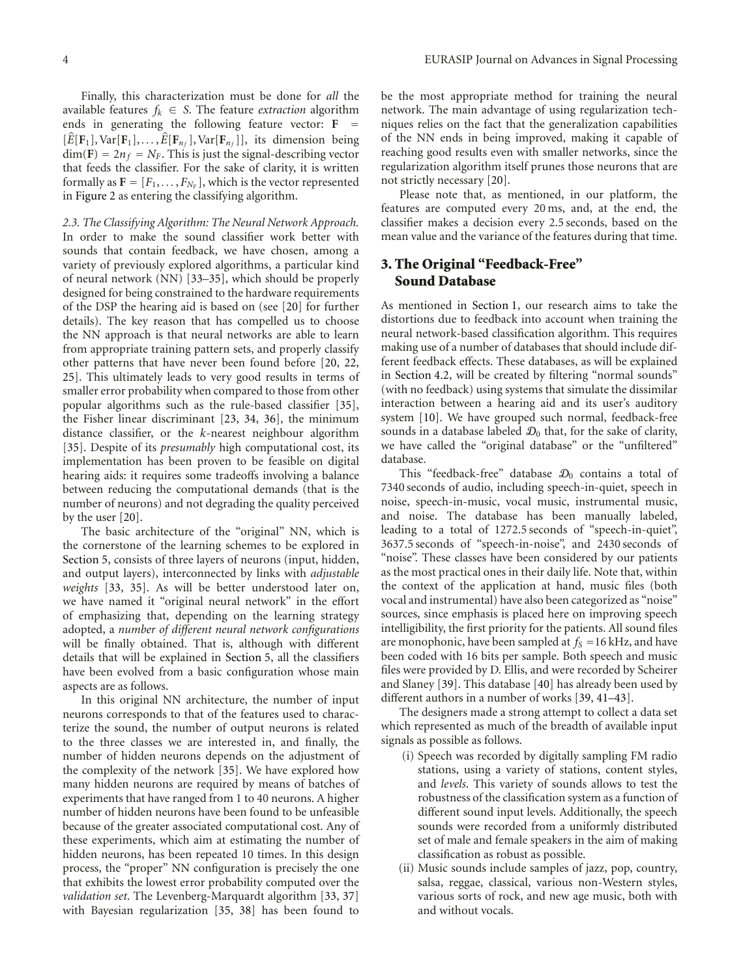Finally, this characterization must be done for *all* the available features  $f_k \in S$ . The feature *extraction* algorithm ends in generating the following feature vector:  $\mathbf{F}$  =  $[\hat{E}[\mathbf{F}_1], \text{Var}[\mathbf{F}_1], \dots, \hat{E}[\mathbf{F}_{n_f}], \text{Var}[\mathbf{F}_{n_f}]]$ , its dimension being  $dim(\mathbf{F}) = 2n_f = N_F$ . This is just the signal-describing vector that feeds the classifier. For the sake of clarity, it is written

formally as  $\mathbf{F} = [F_1, \ldots, F_{N_F}]$ , which is the vector represented

in Figure 2 as entering the classifying algorithm.

*2.3. The Classifying Algorithm: The Neural Network Approach.* In order to make the sound classifier work better with sounds that contain feedback, we have chosen, among a variety of previously explored algorithms, a particular kind of neural network (NN) [33–35], which should be properly designed for being constrained to the hardware requirements of the DSP the hearing aid is based on (see [20] for further details). The key reason that has compelled us to choose the NN approach is that neural networks are able to learn from appropriate training pattern sets, and properly classify other patterns that have never been found before [20, 22, 25]. This ultimately leads to very good results in terms of smaller error probability when compared to those from other popular algorithms such as the rule-based classifier [35], the Fisher linear discriminant [23, 34, 36], the minimum distance classifier, or the *k*-nearest neighbour algorithm [35]. Despite of its *presumably* high computational cost, its implementation has been proven to be feasible on digital hearing aids: it requires some tradeoffs involving a balance between reducing the computational demands (that is the number of neurons) and not degrading the quality perceived by the user [20].

The basic architecture of the "original" NN, which is the cornerstone of the learning schemes to be explored in Section 5, consists of three layers of neurons (input, hidden, and output layers), interconnected by links with *adjustable weights* [33, 35]. As will be better understood later on, we have named it "original neural network" in the effort of emphasizing that, depending on the learning strategy adopted, a *number of different neural network configurations* will be finally obtained. That is, although with different details that will be explained in Section 5, all the classifiers have been evolved from a basic configuration whose main aspects are as follows.

In this original NN architecture, the number of input neurons corresponds to that of the features used to characterize the sound, the number of output neurons is related to the three classes we are interested in, and finally, the number of hidden neurons depends on the adjustment of the complexity of the network [35]. We have explored how many hidden neurons are required by means of batches of experiments that have ranged from 1 to 40 neurons. A higher number of hidden neurons have been found to be unfeasible because of the greater associated computational cost. Any of these experiments, which aim at estimating the number of hidden neurons, has been repeated 10 times. In this design process, the "proper" NN configuration is precisely the one that exhibits the lowest error probability computed over the *validation set*. The Levenberg-Marquardt algorithm [33, 37] with Bayesian regularization [35, 38] has been found to

be the most appropriate method for training the neural network. The main advantage of using regularization techniques relies on the fact that the generalization capabilities of the NN ends in being improved, making it capable of reaching good results even with smaller networks, since the regularization algorithm itself prunes those neurons that are not strictly necessary [20].

Please note that, as mentioned, in our platform, the features are computed every 20 ms, and, at the end, the classifier makes a decision every 2.5 seconds, based on the mean value and the variance of the features during that time.

## **3. The Original "Feedback-Free" Sound Database**

As mentioned in Section 1, our research aims to take the distortions due to feedback into account when training the neural network-based classification algorithm. This requires making use of a number of databases that should include different feedback effects. These databases, as will be explained in Section 4.2, will be created by filtering "normal sounds" (with no feedback) using systems that simulate the dissimilar interaction between a hearing aid and its user's auditory system [10]. We have grouped such normal, feedback-free sounds in a database labeled  $\mathcal{D}_0$  that, for the sake of clarity, we have called the "original database" or the "unfiltered" database.

This "feedback-free" database  $\mathcal{D}_0$  contains a total of 7340 seconds of audio, including speech-in-quiet, speech in noise, speech-in-music, vocal music, instrumental music, and noise. The database has been manually labeled, leading to a total of 1272.5 seconds of "speech-in-quiet", 3637.5 seconds of "speech-in-noise", and 2430 seconds of "noise". These classes have been considered by our patients as the most practical ones in their daily life. Note that, within the context of the application at hand, music files (both vocal and instrumental) have also been categorized as "noise" sources, since emphasis is placed here on improving speech intelligibility, the first priority for the patients. All sound files are monophonic, have been sampled at  $f_s = 16$  kHz, and have been coded with 16 bits per sample. Both speech and music files were provided by D. Ellis, and were recorded by Scheirer and Slaney [39]. This database [40] has already been used by different authors in a number of works [39, 41–43].

The designers made a strong attempt to collect a data set which represented as much of the breadth of available input signals as possible as follows.

- (i) Speech was recorded by digitally sampling FM radio stations, using a variety of stations, content styles, and *levels*. This variety of sounds allows to test the robustness of the classification system as a function of different sound input levels. Additionally, the speech sounds were recorded from a uniformly distributed set of male and female speakers in the aim of making classification as robust as possible.
- (ii) Music sounds include samples of jazz, pop, country, salsa, reggae, classical, various non-Western styles, various sorts of rock, and new age music, both with and without vocals.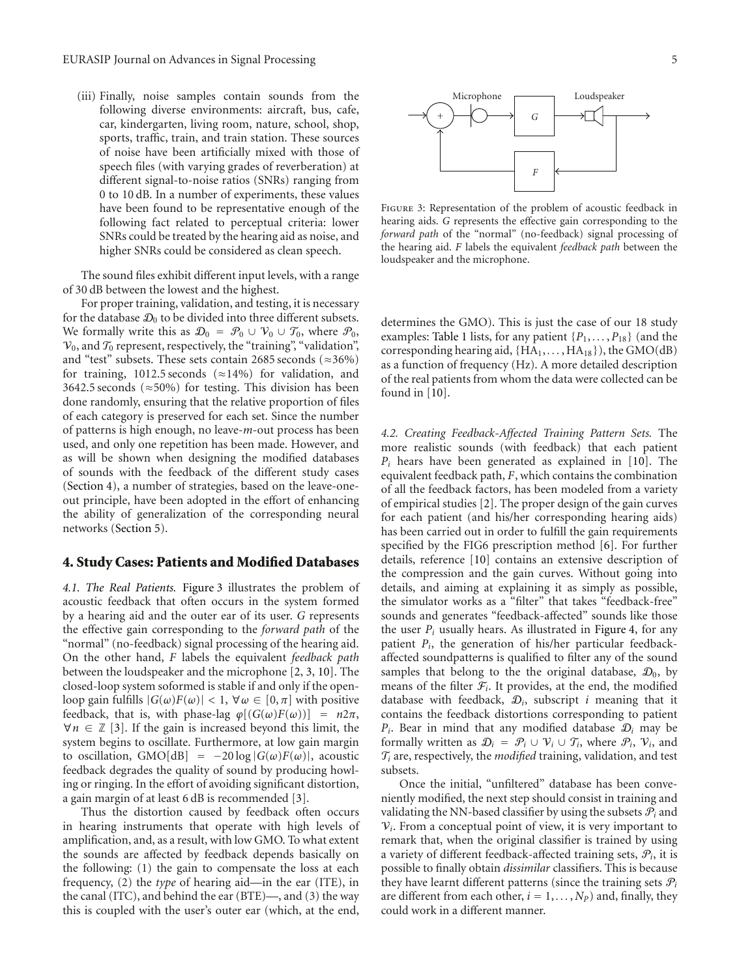(iii) Finally, noise samples contain sounds from the following diverse environments: aircraft, bus, cafe, car, kindergarten, living room, nature, school, shop, sports, traffic, train, and train station. These sources of noise have been artificially mixed with those of speech files (with varying grades of reverberation) at different signal-to-noise ratios (SNRs) ranging from 0 to 10 dB. In a number of experiments, these values have been found to be representative enough of the following fact related to perceptual criteria: lower SNRs could be treated by the hearing aid as noise, and higher SNRs could be considered as clean speech.

The sound files exhibit different input levels, with a range of 30 dB between the lowest and the highest.

For proper training, validation, and testing, it is necessary for the database  $\mathcal{D}_0$  to be divided into three different subsets. We formally write this as  $\mathcal{D}_0 = \mathcal{P}_0 \cup \mathcal{V}_0 \cup \mathcal{T}_0$ , where  $\mathcal{P}_0$ ,  $V_0$ , and  $\mathcal{T}_0$  represent, respectively, the "training", "validation", and "test" subsets. These sets contain 2685 seconds ( $\approx$ 36%) for training, 1012.5 seconds ( $\approx$ 14%) for validation, and 3642.5 seconds ( $\approx$  50%) for testing. This division has been done randomly, ensuring that the relative proportion of files of each category is preserved for each set. Since the number of patterns is high enough, no leave-*m*-out process has been used, and only one repetition has been made. However, and as will be shown when designing the modified databases of sounds with the feedback of the different study cases (Section 4), a number of strategies, based on the leave-oneout principle, have been adopted in the effort of enhancing the ability of generalization of the corresponding neural networks (Section 5).

#### **4. Study Cases: Patients and Modified Databases**

*4.1. The Real Patients.* Figure 3 illustrates the problem of acoustic feedback that often occurs in the system formed by a hearing aid and the outer ear of its user. *G* represents the effective gain corresponding to the *forward path* of the "normal" (no-feedback) signal processing of the hearing aid. On the other hand, *F* labels the equivalent *feedback path* between the loudspeaker and the microphone [2, 3, 10]. The closed-loop system soformed is stable if and only if the openloop gain fulfills  $|G(\omega)F(\omega)| < 1$ ,  $\forall \omega \in [0, \pi]$  with positive feedback, that is, with phase-lag  $\varphi$ [( $G(\omega)F(\omega)$ )] =  $n2\pi$ ,  $\forall n \in \mathbb{Z}$  [3]. If the gain is increased beyond this limit, the system begins to oscillate. Furthermore, at low gain margin to oscillation, GMO[dB] =  $-20 \log |G(\omega)F(\omega)|$ , acoustic feedback degrades the quality of sound by producing howling or ringing. In the effort of avoiding significant distortion, a gain margin of at least 6 dB is recommended [3].

Thus the distortion caused by feedback often occurs in hearing instruments that operate with high levels of amplification, and, as a result, with low GMO. To what extent the sounds are affected by feedback depends basically on the following: (1) the gain to compensate the loss at each frequency, (2) the *type* of hearing aid—in the ear (ITE), in the canal (ITC), and behind the ear (BTE)—, and (3) the way this is coupled with the user's outer ear (which, at the end,



Figure 3: Representation of the problem of acoustic feedback in hearing aids. *G* represents the effective gain corresponding to the *forward path* of the "normal" (no-feedback) signal processing of the hearing aid. *F* labels the equivalent *feedback path* between the loudspeaker and the microphone.

determines the GMO). This is just the case of our 18 study examples: Table 1 lists, for any patient {*P*1, *...* , *P*18} (and the corresponding hearing aid, {HA1, *...* , HA18}), the GMO(dB) as a function of frequency (Hz). A more detailed description of the real patients from whom the data were collected can be found in [10].

*4.2. Creating Feedback-Affected Training Pattern Sets.* The more realistic sounds (with feedback) that each patient  $P_i$  hears have been generated as explained in [10]. The equivalent feedback path, *F*, which contains the combination of all the feedback factors, has been modeled from a variety of empirical studies [2]. The proper design of the gain curves for each patient (and his/her corresponding hearing aids) has been carried out in order to fulfill the gain requirements specified by the FIG6 prescription method [6]. For further details, reference [10] contains an extensive description of the compression and the gain curves. Without going into details, and aiming at explaining it as simply as possible, the simulator works as a "filter" that takes "feedback-free" sounds and generates "feedback-affected" sounds like those the user  $P_i$  usually hears. As illustrated in Figure 4, for any patient *Pi*, the generation of his/her particular feedbackaffected soundpatterns is qualified to filter any of the sound samples that belong to the the original database,  $\mathcal{D}_0$ , by means of the filter  $F_i$ . It provides, at the end, the modified database with feedback,  $D_i$ , subscript *i* meaning that it contains the feedback distortions corresponding to patient  $P_i$ . Bear in mind that any modified database  $D_i$  may be formally written as  $\mathcal{D}_i = \mathcal{P}_i \cup \mathcal{V}_i \cup \mathcal{T}_i$ , where  $\mathcal{P}_i$ ,  $\mathcal{V}_i$ , and  $\mathcal{T}_i$  are, respectively, the *modified* training, validation, and test subsets.

Once the initial, "unfiltered" database has been conveniently modified, the next step should consist in training and validating the NN-based classifier by using the subsets  $P_i$  and  $V_i$ . From a conceptual point of view, it is very important to remark that, when the original classifier is trained by using a variety of different feedback-affected training sets, P*i*, it is possible to finally obtain *dissimilar* classifiers. This is because they have learnt different patterns (since the training sets  $P_i$ are different from each other,  $i = 1, \ldots, N_P$  and, finally, they could work in a different manner.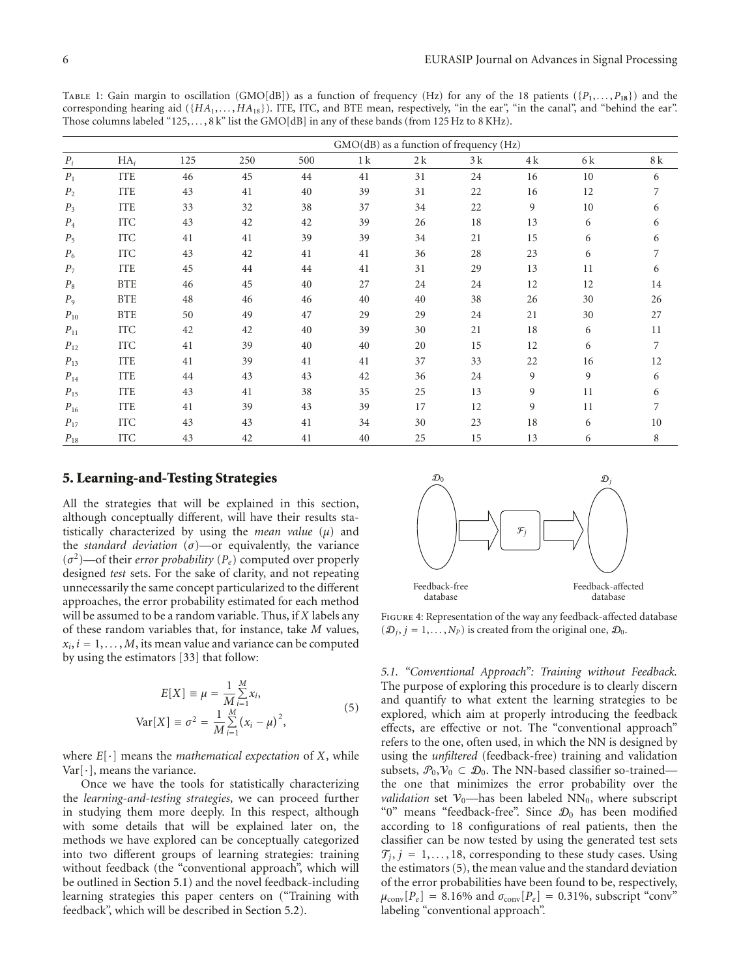TABLE 1: Gain margin to oscillation (GMO[dB]) as a function of frequency (Hz) for any of the 18 patients ( $\{P_1, \ldots, P_{18}\}$ ) and the corresponding hearing aid ({ $HA_1$ ,..., $HA_{18}$ }). ITE, ITC, and BTE mean, respectively, "in the ear", "in the canal", and "behind the ear". Those columns labeled "125, ..., 8 k" list the GMO[dB] in any of these bands (from 125 Hz to 8 KHz).

|                    |            | GMO(dB) as a function of frequency (Hz) |     |     |    |    |    |     |     |     |
|--------------------|------------|-----------------------------------------|-----|-----|----|----|----|-----|-----|-----|
| $\boldsymbol{P_i}$ | $HA_i$     | 125                                     | 250 | 500 | 1k | 2k | 3k | 4 k | 6 k | 8 k |
| $P_1$              | <b>ITE</b> | 46                                      | 45  | 44  | 41 | 31 | 24 | 16  | 10  | 6   |
| P <sub>2</sub>     | <b>ITE</b> | 43                                      | 41  | 40  | 39 | 31 | 22 | 16  | 12  | 7   |
| $P_3$              | <b>ITE</b> | 33                                      | 32  | 38  | 37 | 34 | 22 | 9   | 10  | 6   |
| $\mathcal{P}_4$    | <b>ITC</b> | 43                                      | 42  | 42  | 39 | 26 | 18 | 13  | 6   | 6   |
| $P_5$              | <b>ITC</b> | 41                                      | 41  | 39  | 39 | 34 | 21 | 15  | 6   | 6   |
| $P_6$              | <b>ITC</b> | 43                                      | 42  | 41  | 41 | 36 | 28 | 23  | 6   | 7   |
| $P_7$              | <b>ITE</b> | 45                                      | 44  | 44  | 41 | 31 | 29 | 13  | 11  | 6   |
| $P_8$              | <b>BTE</b> | 46                                      | 45  | 40  | 27 | 24 | 24 | 12  | 12  | 14  |
| $P_9$              | <b>BTE</b> | 48                                      | 46  | 46  | 40 | 40 | 38 | 26  | 30  | 26  |
| $P_{10}$           | <b>BTE</b> | 50                                      | 49  | 47  | 29 | 29 | 24 | 21  | 30  | 27  |
| $P_{11}$           | <b>ITC</b> | 42                                      | 42  | 40  | 39 | 30 | 21 | 18  | 6   | 11  |
| $P_{12}$           | <b>ITC</b> | 41                                      | 39  | 40  | 40 | 20 | 15 | 12  | 6   | 7   |
| $P_{13}$           | <b>ITE</b> | 41                                      | 39  | 41  | 41 | 37 | 33 | 22  | 16  | 12  |
| $P_{14}$           | <b>ITE</b> | 44                                      | 43  | 43  | 42 | 36 | 24 | 9   | 9   | 6   |
| $P_{15}$           | <b>ITE</b> | 43                                      | 41  | 38  | 35 | 25 | 13 | 9   | 11  | 6   |
| $P_{16}$           | <b>ITE</b> | 41                                      | 39  | 43  | 39 | 17 | 12 | 9   | 11  | 7   |
| $P_{17}$           | <b>ITC</b> | 43                                      | 43  | 41  | 34 | 30 | 23 | 18  | 6   | 10  |
| $P_{18}$           | <b>ITC</b> | 43                                      | 42  | 41  | 40 | 25 | 15 | 13  | 6   | 8   |

#### **5. Learning-and-Testing Strategies**

All the strategies that will be explained in this section, although conceptually different, will have their results statistically characterized by using the *mean value* (*μ*) and the *standard deviation*  $(\sigma)$ —or equivalently, the variance  $(\sigma^2)$ —of their *error probability* ( $P_e$ ) computed over properly designed *test* sets. For the sake of clarity, and not repeating unnecessarily the same concept particularized to the different approaches, the error probability estimated for each method will be assumed to be a random variable. Thus, if *X* labels any of these random variables that, for instance, take *M* values,  $x_i$ ,  $i = 1, \ldots, M$ , its mean value and variance can be computed by using the estimators [33] that follow:

$$
E[X] \equiv \mu = \frac{1}{M} \sum_{i=1}^{M} x_i,
$$
  
\n
$$
Var[X] \equiv \sigma^2 = \frac{1}{M} \sum_{i=1}^{M} (x_i - \mu)^2,
$$
\n(5)

where *E*[·] means the *mathematical expectation* of *X*, while  $Var[\cdot]$ , means the variance.

Once we have the tools for statistically characterizing the *learning-and-testing strategies*, we can proceed further in studying them more deeply. In this respect, although with some details that will be explained later on, the methods we have explored can be conceptually categorized into two different groups of learning strategies: training without feedback (the "conventional approach", which will be outlined in Section 5.1) and the novel feedback-including learning strategies this paper centers on ("Training with feedback", which will be described in Section 5.2).



Figure 4: Representation of the way any feedback-affected database  $(\mathcal{D}_i, j = 1, \ldots, N_P)$  is created from the original one,  $\mathcal{D}_0$ .

*5.1. "Conventional Approach": Training without Feedback.* The purpose of exploring this procedure is to clearly discern and quantify to what extent the learning strategies to be explored, which aim at properly introducing the feedback effects, are effective or not. The "conventional approach" refers to the one, often used, in which the NN is designed by using the *unfiltered* (feedback-free) training and validation subsets,  $\mathcal{P}_0, \mathcal{V}_0 \subset \mathcal{D}_0$ . The NN-based classifier so-trained the one that minimizes the error probability over the *validation* set  $V_0$ —has been labeled NN<sub>0</sub>, where subscript "0" means "feedback-free". Since  $\mathcal{D}_0$  has been modified according to 18 configurations of real patients, then the classifier can be now tested by using the generated test sets  $\mathcal{T}_j$ ,  $j = 1, \ldots, 18$ , corresponding to these study cases. Using the estimators (5), the mean value and the standard deviation of the error probabilities have been found to be, respectively,  $\mu_{\text{conv}}[P_e] = 8.16\%$  and  $\sigma_{\text{conv}}[P_e] = 0.31\%$ , subscript "conv" labeling "conventional approach".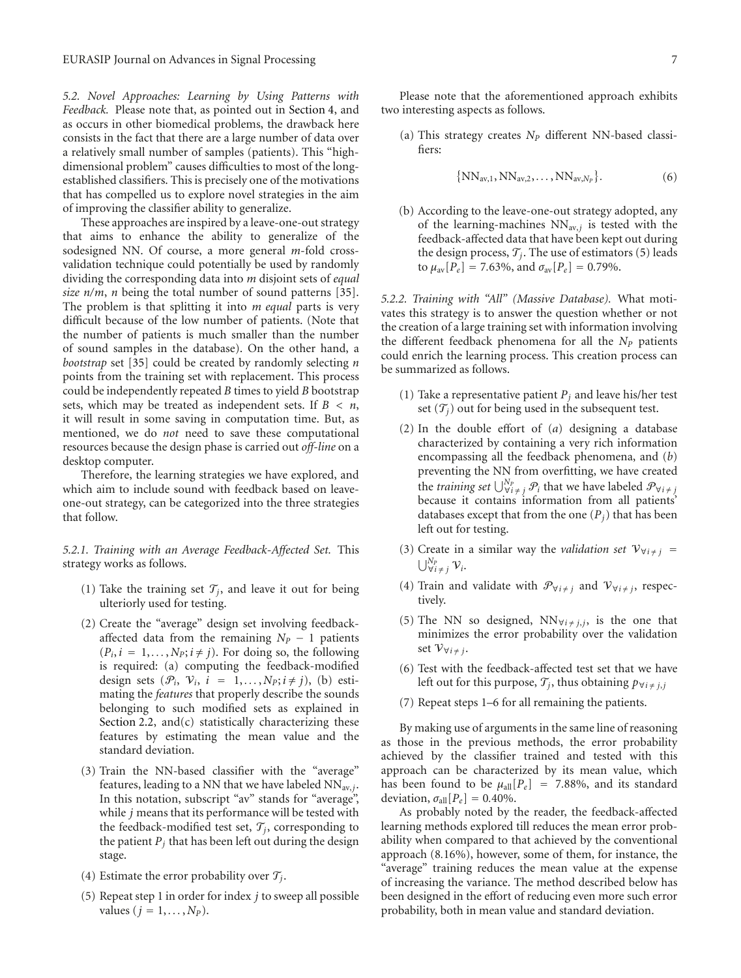*5.2. Novel Approaches: Learning by Using Patterns with Feedback.* Please note that, as pointed out in Section 4, and as occurs in other biomedical problems, the drawback here consists in the fact that there are a large number of data over a relatively small number of samples (patients). This "highdimensional problem" causes difficulties to most of the longestablished classifiers. This is precisely one of the motivations that has compelled us to explore novel strategies in the aim of improving the classifier ability to generalize.

These approaches are inspired by a leave-one-out strategy that aims to enhance the ability to generalize of the sodesigned NN. Of course, a more general *m*-fold crossvalidation technique could potentially be used by randomly dividing the corresponding data into *m* disjoint sets of *equal size n/m*, *n* being the total number of sound patterns [35]. The problem is that splitting it into *m equal* parts is very difficult because of the low number of patients. (Note that the number of patients is much smaller than the number of sound samples in the database). On the other hand, a *bootstrap* set [35] could be created by randomly selecting *n* points from the training set with replacement. This process could be independently repeated *B* times to yield *B* bootstrap sets, which may be treated as independent sets. If  $B < n$ , it will result in some saving in computation time. But, as mentioned, we do *not* need to save these computational resources because the design phase is carried out *off-line* on a desktop computer.

Therefore, the learning strategies we have explored, and which aim to include sound with feedback based on leaveone-out strategy, can be categorized into the three strategies that follow.

*5.2.1. Training with an Average Feedback-Affected Set.* This strategy works as follows.

- (1) Take the training set  $\mathcal{T}_i$ , and leave it out for being ulteriorly used for testing.
- (2) Create the "average" design set involving feedbackaffected data from the remaining  $N_P - 1$  patients  $(P_i, i = 1, \ldots, N_P; i \neq j)$ . For doing so, the following is required: (a) computing the feedback-modified design sets  $(\mathcal{P}_i, \mathcal{V}_i, i = 1, \ldots, N_p; i \neq j)$ , (b) estimating the *features* that properly describe the sounds belonging to such modified sets as explained in Section 2.2, and $(c)$  statistically characterizing these features by estimating the mean value and the standard deviation.
- (3) Train the NN-based classifier with the "average" features, leading to a NN that we have labeled NNav,*j*. In this notation, subscript "av" stands for "average", while *j* means that its performance will be tested with the feedback-modified test set,  $\mathcal{T}_i$ , corresponding to the patient  $P_j$  that has been left out during the design stage.
- (4) Estimate the error probability over  $\mathcal{T}_j$ .
- (5) Repeat step 1 in order for index *j* to sweep all possible values  $(j = 1, ..., N_P)$ .

Please note that the aforementioned approach exhibits two interesting aspects as follows.

(a) This strategy creates *NP* different NN-based classifiers:

$$
\{NN_{\text{av},1}, NN_{\text{av},2},\ldots, NN_{\text{av},N_P}\}.
$$
 (6)

(b) According to the leave-one-out strategy adopted, any of the learning-machines  $NN_{av,j}$  is tested with the feedback-affected data that have been kept out during the design process,  $\mathcal{T}_i$ . The use of estimators (5) leads to  $\mu_{av}[P_e] = 7.63\%$ , and  $\sigma_{av}[P_e] = 0.79\%$ .

*5.2.2. Training with "All" (Massive Database).* What motivates this strategy is to answer the question whether or not the creation of a large training set with information involving the different feedback phenomena for all the *NP* patients could enrich the learning process. This creation process can be summarized as follows.

- (1) Take a representative patient  $P_i$  and leave his/her test set  $(\mathcal{T}_i)$  out for being used in the subsequent test.
- (2) In the double effort of (*a*) designing a database characterized by containing a very rich information encompassing all the feedback phenomena, and (*b*) preventing the NN from overfitting, we have created the *training set*  $\bigcup_{\forall i \neq j}^{N_P} \mathcal{P}_i$  that we have labeled  $\mathcal{P}_{\forall i \neq j}$ because it contains information from all patients' databases except that from the one  $(P_j)$  that has been left out for testing.
- (3) Create in a similar way the *validation set*  $V_{\forall i \neq j}$  =  $\bigcup_{\forall i \neq j}^{N_p} \mathcal{V}_i$ .
- (4) Train and validate with  $\mathcal{P}_{\forall i \neq j}$  and  $\mathcal{V}_{\forall i \neq j}$ , respectively.
- (5) The NN so designed,  $NN_{\forall i \neq j,j}$ , is the one that minimizes the error probability over the validation set  $V_{\forall i \neq j}$ .
- (6) Test with the feedback-affected test set that we have left out for this purpose,  $\mathcal{T}_j$ , thus obtaining  $p_{\forall i \neq j,j}$
- (7) Repeat steps 1–6 for all remaining the patients.

By making use of arguments in the same line of reasoning as those in the previous methods, the error probability achieved by the classifier trained and tested with this approach can be characterized by its mean value, which has been found to be  $\mu_{all}[P_e]$  = 7.88%, and its standard deviation,  $\sigma_{all}[P_e] = 0.40\%$ .

As probably noted by the reader, the feedback-affected learning methods explored till reduces the mean error probability when compared to that achieved by the conventional approach (8*.*16%), however, some of them, for instance, the "average" training reduces the mean value at the expense of increasing the variance. The method described below has been designed in the effort of reducing even more such error probability, both in mean value and standard deviation.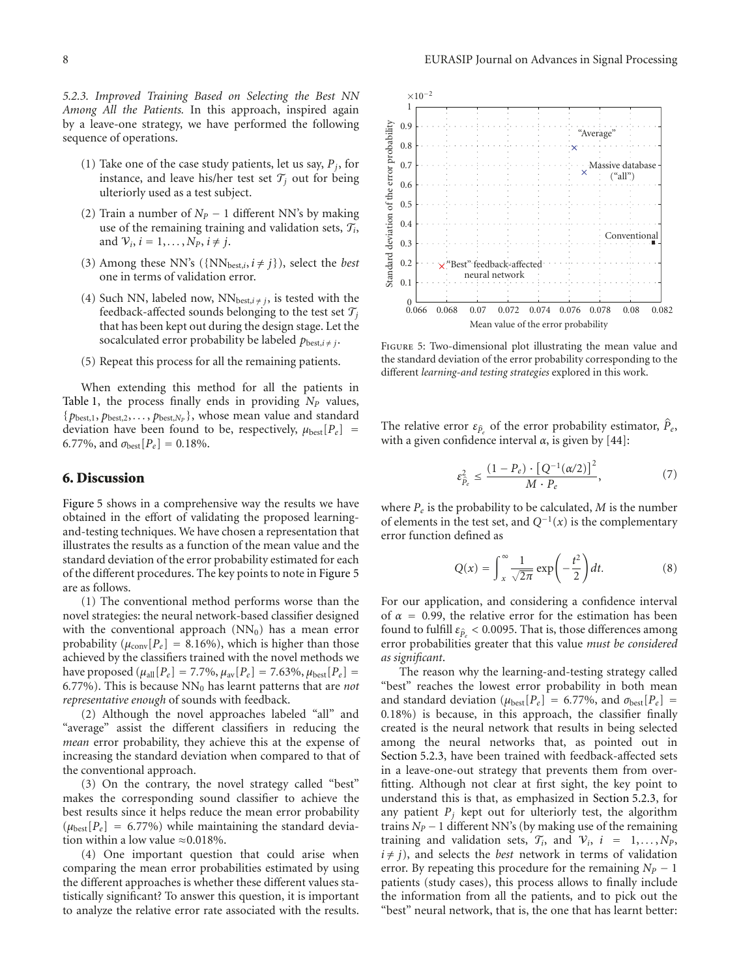*5.2.3. Improved Training Based on Selecting the Best NN Among All the Patients.* In this approach, inspired again by a leave-one strategy, we have performed the following sequence of operations.

- (1) Take one of the case study patients, let us say,  $P_i$ , for instance, and leave his/her test set  $\mathcal{T}_i$  out for being ulteriorly used as a test subject.
- (2) Train a number of  $N_P 1$  different NN's by making use of the remaining training and validation sets,  $\mathcal{T}_i$ , and  $V_i$ ,  $i = 1, \ldots, N_P$ ,  $i \neq j$ .
- (3) Among these NN's ( $\{NN_{best,i}, i \neq j\}$ ), select the *best* one in terms of validation error.
- (4) Such NN, labeled now,  $NN_{best,i\neq j}$ , is tested with the feedback-affected sounds belonging to the test set  $\mathcal{T}_i$ that has been kept out during the design stage. Let the socalculated error probability be labeled  $p_{best,i\neq j}$ .
- (5) Repeat this process for all the remaining patients.

When extending this method for all the patients in Table 1, the process finally ends in providing  $N_P$  values,  ${p_{\text{best},1}, p_{\text{best},2}, \ldots, p_{\text{best},N_p}}$ , whose mean value and standard deviation have been found to be, respectively,  $\mu_{best}[P_e]$  = 6.77%, and  $\sigma_{\text{best}}[P_e] = 0.18\%$ .

#### **6. Discussion**

Figure 5 shows in a comprehensive way the results we have obtained in the effort of validating the proposed learningand-testing techniques. We have chosen a representation that illustrates the results as a function of the mean value and the standard deviation of the error probability estimated for each of the different procedures. The key points to note in Figure 5 are as follows.

(1) The conventional method performs worse than the novel strategies: the neural network-based classifier designed with the conventional approach  $(NN_0)$  has a mean error probability  $(\mu_{\text{conv}}[P_e] = 8.16\%)$ , which is higher than those achieved by the classifiers trained with the novel methods we have proposed ( $μ_{all}[P_e] = 7.7\%, μ_{av}[P_e] = 7.63\%, μ_{best}[P_e] =$ 6*.*77%). This is because NN0 has learnt patterns that are *not representative enough* of sounds with feedback.

(2) Although the novel approaches labeled "all" and "average" assist the different classifiers in reducing the *mean* error probability, they achieve this at the expense of increasing the standard deviation when compared to that of the conventional approach.

(3) On the contrary, the novel strategy called "best" makes the corresponding sound classifier to achieve the best results since it helps reduce the mean error probability  $(\mu_{\text{best}}[P_e] = 6.77\%)$  while maintaining the standard deviation within a low value  $\approx 0.018\%$ .

(4) One important question that could arise when comparing the mean error probabilities estimated by using the different approaches is whether these different values statistically significant? To answer this question, it is important to analyze the relative error rate associated with the results.



FIGURE 5: Two-dimensional plot illustrating the mean value and the standard deviation of the error probability corresponding to the different *learning-and testing strategies* explored in this work.

The relative error  $\varepsilon_{\hat{p}_e}$  of the error probability estimator,  $\hat{P}_e$ , with a given confidence interval  $\alpha$ , is given by [44]:

$$
\varepsilon_{\hat{P}_e}^2 \le \frac{(1 - P_e) \cdot [Q^{-1}(\alpha/2)]^2}{M \cdot P_e},\tag{7}
$$

where  $P_e$  is the probability to be calculated, *M* is the number of elements in the test set, and *Q*−1(*x*) is the complementary error function defined as

$$
Q(x) = \int_{x}^{\infty} \frac{1}{\sqrt{2\pi}} \exp\left(-\frac{t^2}{2}\right) dt. \tag{8}
$$

For our application, and considering a confidence interval of  $\alpha = 0.99$ , the relative error for the estimation has been found to fulfill  $\varepsilon_{\hat{p}}$  < 0.0095. That is, those differences among error probabilities greater that this value *must be considered as significant*.

The reason why the learning-and-testing strategy called "best" reaches the lowest error probability in both mean and standard deviation ( $\mu_{\text{best}}[P_e] = 6.77\%$ , and  $\sigma_{\text{best}}[P_e] =$ 0*.*18%) is because, in this approach, the classifier finally created is the neural network that results in being selected among the neural networks that, as pointed out in Section 5.2.3, have been trained with feedback-affected sets in a leave-one-out strategy that prevents them from overfitting. Although not clear at first sight, the key point to understand this is that, as emphasized in Section 5.2.3, for any patient  $P_i$  kept out for ulteriorly test, the algorithm trains  $N_P - 1$  different NN's (by making use of the remaining training and validation sets,  $\mathcal{T}_i$ , and  $\mathcal{V}_i$ ,  $i = 1, \ldots, N_P$ ,  $i \neq j$ ), and selects the *best* network in terms of validation error. By repeating this procedure for the remaining  $N_P - 1$ patients (study cases), this process allows to finally include the information from all the patients, and to pick out the "best" neural network, that is, the one that has learnt better: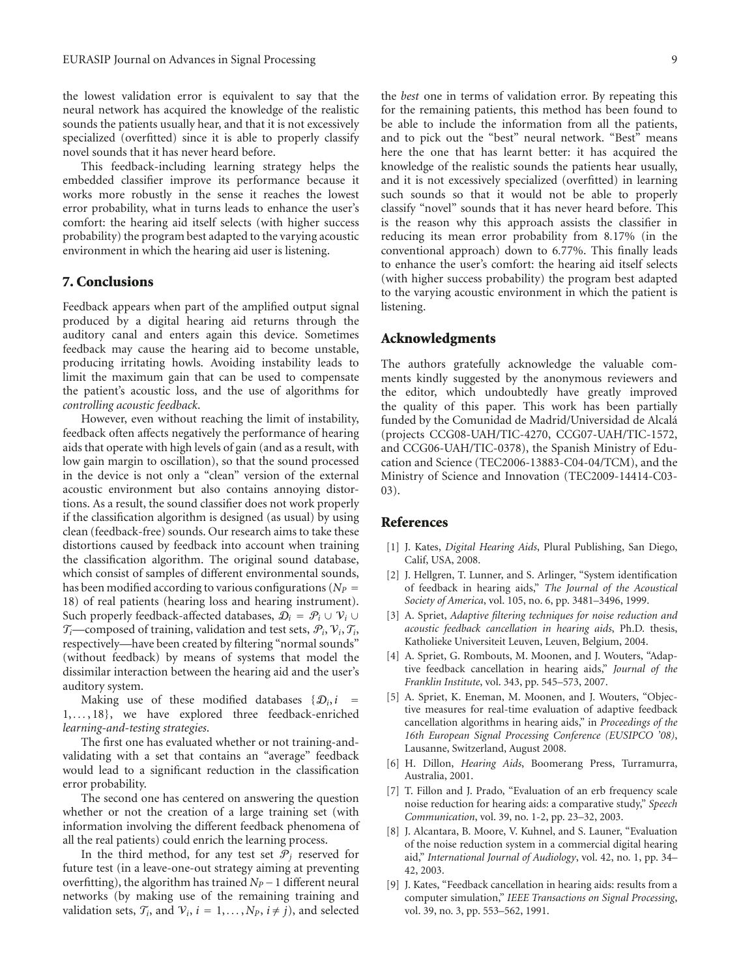the lowest validation error is equivalent to say that the neural network has acquired the knowledge of the realistic sounds the patients usually hear, and that it is not excessively specialized (overfitted) since it is able to properly classify novel sounds that it has never heard before.

This feedback-including learning strategy helps the embedded classifier improve its performance because it works more robustly in the sense it reaches the lowest error probability, what in turns leads to enhance the user's comfort: the hearing aid itself selects (with higher success probability) the program best adapted to the varying acoustic environment in which the hearing aid user is listening.

## **7. Conclusions**

Feedback appears when part of the amplified output signal produced by a digital hearing aid returns through the auditory canal and enters again this device. Sometimes feedback may cause the hearing aid to become unstable, producing irritating howls. Avoiding instability leads to limit the maximum gain that can be used to compensate the patient's acoustic loss, and the use of algorithms for *controlling acoustic feedback*.

However, even without reaching the limit of instability, feedback often affects negatively the performance of hearing aids that operate with high levels of gain (and as a result, with low gain margin to oscillation), so that the sound processed in the device is not only a "clean" version of the external acoustic environment but also contains annoying distortions. As a result, the sound classifier does not work properly if the classification algorithm is designed (as usual) by using clean (feedback-free) sounds. Our research aims to take these distortions caused by feedback into account when training the classification algorithm. The original sound database, which consist of samples of different environmental sounds, has been modified according to various configurations ( $N_P =$ 18) of real patients (hearing loss and hearing instrument). Such properly feedback-affected databases,  $\mathcal{D}_i = \mathcal{P}_i \cup \mathcal{V}_i \cup$  $\mathcal{T}_i$ —composed of training, validation and test sets,  $\mathcal{P}_i$ ,  $\mathcal{V}_i$ ,  $\mathcal{T}_i$ , respectively—have been created by filtering "normal sounds" (without feedback) by means of systems that model the dissimilar interaction between the hearing aid and the user's auditory system.

Making use of these modified databases  $\{\mathcal{D}_i, i\}$ 1, *...* , 18}, we have explored three feedback-enriched *learning-and-testing strategies*.

The first one has evaluated whether or not training-andvalidating with a set that contains an "average" feedback would lead to a significant reduction in the classification error probability.

The second one has centered on answering the question whether or not the creation of a large training set (with information involving the different feedback phenomena of all the real patients) could enrich the learning process.

In the third method, for any test set  $\mathcal{P}_j$  reserved for future test (in a leave-one-out strategy aiming at preventing overfitting), the algorithm has trained  $N_P - 1$  different neural networks (by making use of the remaining training and validation sets,  $\mathcal{T}_i$ , and  $\mathcal{V}_i$ ,  $i = 1, \ldots, N_p$ ,  $i \neq j$ ), and selected

the *best* one in terms of validation error. By repeating this for the remaining patients, this method has been found to be able to include the information from all the patients, and to pick out the "best" neural network. "Best" means here the one that has learnt better: it has acquired the knowledge of the realistic sounds the patients hear usually, and it is not excessively specialized (overfitted) in learning such sounds so that it would not be able to properly classify "novel" sounds that it has never heard before. This is the reason why this approach assists the classifier in reducing its mean error probability from 8*.*17% (in the conventional approach) down to 6*.*77%. This finally leads to enhance the user's comfort: the hearing aid itself selects (with higher success probability) the program best adapted to the varying acoustic environment in which the patient is listening.

### **Acknowledgments**

The authors gratefully acknowledge the valuable comments kindly suggested by the anonymous reviewers and the editor, which undoubtedly have greatly improved the quality of this paper. This work has been partially funded by the Comunidad de Madrid/Universidad de Alcala´ (projects CCG08-UAH/TIC-4270, CCG07-UAH/TIC-1572, and CCG06-UAH/TIC-0378), the Spanish Ministry of Education and Science (TEC2006-13883-C04-04/TCM), and the Ministry of Science and Innovation (TEC2009-14414-C03- 03).

## **References**

- [1] J. Kates, *Digital Hearing Aids*, Plural Publishing, San Diego, Calif, USA, 2008.
- [2] J. Hellgren, T. Lunner, and S. Arlinger, "System identification of feedback in hearing aids," *The Journal of the Acoustical Society of America*, vol. 105, no. 6, pp. 3481–3496, 1999.
- [3] A. Spriet, *Adaptive filtering techniques for noise reduction and acoustic feedback cancellation in hearing aids*, Ph.D. thesis, Katholieke Universiteit Leuven, Leuven, Belgium, 2004.
- [4] A. Spriet, G. Rombouts, M. Moonen, and J. Wouters, "Adaptive feedback cancellation in hearing aids," *Journal of the Franklin Institute*, vol. 343, pp. 545–573, 2007.
- [5] A. Spriet, K. Eneman, M. Moonen, and J. Wouters, "Objective measures for real-time evaluation of adaptive feedback cancellation algorithms in hearing aids," in *Proceedings of the 16th European Signal Processing Conference (EUSIPCO '08)*, Lausanne, Switzerland, August 2008.
- [6] H. Dillon, *Hearing Aids*, Boomerang Press, Turramurra, Australia, 2001.
- [7] T. Fillon and J. Prado, "Evaluation of an erb frequency scale noise reduction for hearing aids: a comparative study," *Speech Communication*, vol. 39, no. 1-2, pp. 23–32, 2003.
- [8] J. Alcantara, B. Moore, V. Kuhnel, and S. Launer, "Evaluation of the noise reduction system in a commercial digital hearing aid," *International Journal of Audiology*, vol. 42, no. 1, pp. 34– 42, 2003.
- [9] J. Kates, "Feedback cancellation in hearing aids: results from a computer simulation," *IEEE Transactions on Signal Processing*, vol. 39, no. 3, pp. 553–562, 1991.